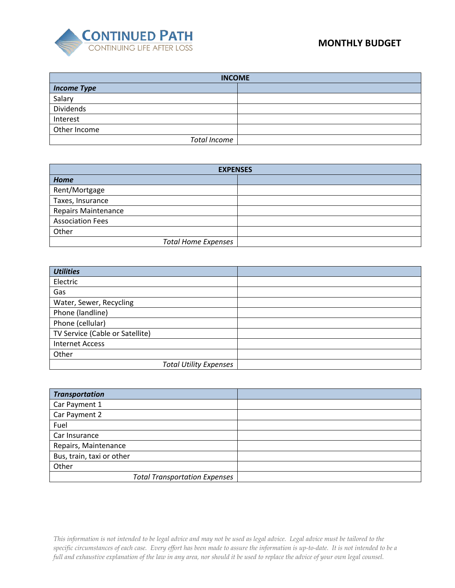

| <b>INCOME</b>       |  |
|---------------------|--|
| <b>Income Type</b>  |  |
| Salary              |  |
| Dividends           |  |
| Interest            |  |
| Other Income        |  |
| <b>Total Income</b> |  |

| <b>EXPENSES</b>            |  |
|----------------------------|--|
| Home                       |  |
| Rent/Mortgage              |  |
| Taxes, Insurance           |  |
| <b>Repairs Maintenance</b> |  |
| <b>Association Fees</b>    |  |
| Other                      |  |
| <b>Total Home Expenses</b> |  |

| <b>Utilities</b>                |  |
|---------------------------------|--|
| Electric                        |  |
| Gas                             |  |
| Water, Sewer, Recycling         |  |
| Phone (landline)                |  |
| Phone (cellular)                |  |
| TV Service (Cable or Satellite) |  |
| <b>Internet Access</b>          |  |
| Other                           |  |
| <b>Total Utility Expenses</b>   |  |

| <b>Transportation</b>                |  |
|--------------------------------------|--|
| Car Payment 1                        |  |
| Car Payment 2                        |  |
| Fuel                                 |  |
| Car Insurance                        |  |
| Repairs, Maintenance                 |  |
| Bus, train, taxi or other            |  |
| Other                                |  |
| <b>Total Transportation Expenses</b> |  |

*This information is not intended to be legal advice and may not be used as legal advice. Legal advice must be tailored to the specific circumstances of each case. Every effort has been made to assure the information is up-to-date. It is not intended to be a full and exhaustive explanation of the law in any area, nor should it be used to replace the advice of your own legal counsel.*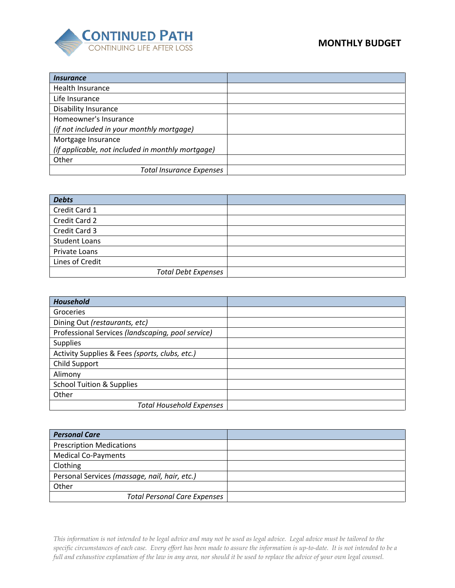

## **MONTHLY BUDGET**

| <i><u><b>Insurance</b></u></i>                    |  |
|---------------------------------------------------|--|
| Health Insurance                                  |  |
| Life Insurance                                    |  |
| <b>Disability Insurance</b>                       |  |
| Homeowner's Insurance                             |  |
| (if not included in your monthly mortgage)        |  |
| Mortgage Insurance                                |  |
| (if applicable, not included in monthly mortgage) |  |
| Other                                             |  |
| <b>Total Insurance Expenses</b>                   |  |

| <b>Debts</b>               |  |
|----------------------------|--|
| Credit Card 1              |  |
| Credit Card 2              |  |
| Credit Card 3              |  |
| <b>Student Loans</b>       |  |
| Private Loans              |  |
| Lines of Credit            |  |
| <b>Total Debt Expenses</b> |  |

| <b>Household</b>                                  |  |
|---------------------------------------------------|--|
| Groceries                                         |  |
| Dining Out (restaurants, etc)                     |  |
| Professional Services (landscaping, pool service) |  |
| <b>Supplies</b>                                   |  |
| Activity Supplies & Fees (sports, clubs, etc.)    |  |
| Child Support                                     |  |
| Alimony                                           |  |
| <b>School Tuition &amp; Supplies</b>              |  |
| Other                                             |  |
| <b>Total Household Expenses</b>                   |  |

| <b>Personal Care</b>                          |  |
|-----------------------------------------------|--|
| <b>Prescription Medications</b>               |  |
| <b>Medical Co-Payments</b>                    |  |
| Clothing                                      |  |
| Personal Services (massage, nail, hair, etc.) |  |
| Other                                         |  |
| <b>Total Personal Care Expenses</b>           |  |

*This information is not intended to be legal advice and may not be used as legal advice. Legal advice must be tailored to the specific circumstances of each case. Every effort has been made to assure the information is up-to-date. It is not intended to be a full and exhaustive explanation of the law in any area, nor should it be used to replace the advice of your own legal counsel.*